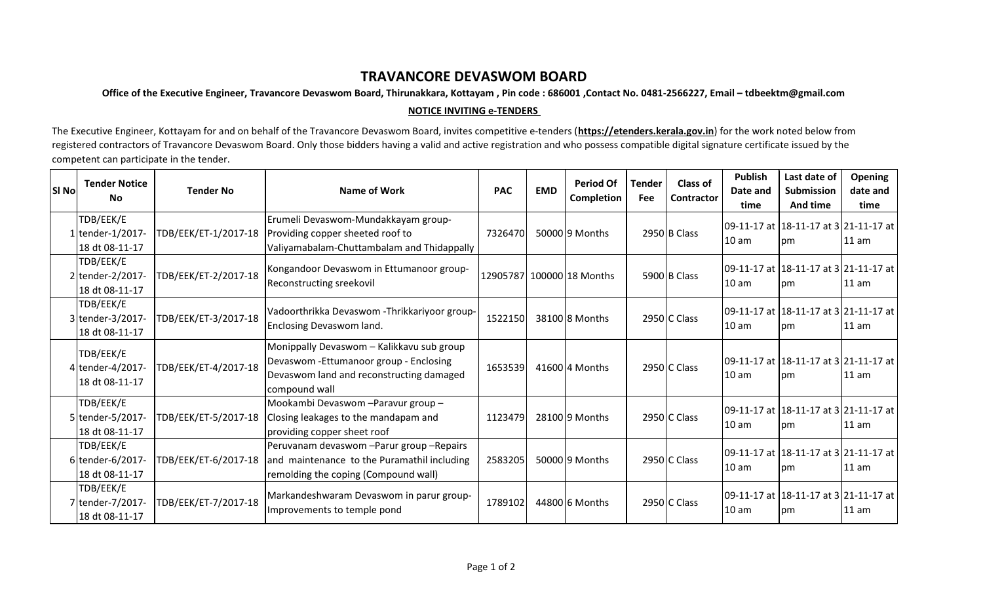## **TRAVANCORE DEVASWOM BOARD**

**Office of the Executive Engineer, Travancore Devaswom Board, Thirunakkara, Kottayam , Pin code : 686001 ,Contact No. 0481-2566227, Email – tdbeektm@gmail.com**

## **NOTICE INVITING e-TENDERS**

The Executive Engineer, Kottayam for and on behalf of the Travancore Devaswom Board, invites competitive e-tenders (**https://etenders.kerala.gov.in**) for the work noted below from registered contractors of Travancore Devaswom Board. Only those bidders having a valid and active registration and who possess compatible digital signature certificate issued by the competent can participate in the tender.

| SI Nol | <b>Tender Notice</b><br><b>No</b>               | <b>Tender No</b>     | Name of Work                                                                                                                                      | <b>PAC</b> | <b>EMD</b> | <b>Period Of</b><br><b>Completion</b> | <b>Tender</b><br><b>Fee</b> | Class of<br><b>Contractor</b> | <b>Publish</b><br>Date and<br>time | Last date of<br>Submission<br>And time                | <b>Opening</b><br>date and<br>time |
|--------|-------------------------------------------------|----------------------|---------------------------------------------------------------------------------------------------------------------------------------------------|------------|------------|---------------------------------------|-----------------------------|-------------------------------|------------------------------------|-------------------------------------------------------|------------------------------------|
|        | TDB/EEK/E<br>1 tender-1/2017-<br>18 dt 08-11-17 | TDB/EEK/ET-1/2017-18 | Erumeli Devaswom-Mundakkayam group-<br>Providing copper sheeted roof to<br>Valiyamabalam-Chuttambalam and Thidappally                             | 7326470    |            | 50000 9 Months                        |                             | 2950 B Class                  | 10 am                              | 09-11-17 at 18-11-17 at 3 21-11-17 at<br><b>I</b> pm  | 11 am                              |
|        | TDB/EEK/E<br>2 tender-2/2017-<br>18 dt 08-11-17 | TDB/EEK/ET-2/2017-18 | Kongandoor Devaswom in Ettumanoor group-<br>Reconstructing sreekovil                                                                              |            |            | 12905787 100000 18 Months             |                             | 5900 B Class                  | 10 <sub>am</sub>                   | 09-11-17 at 18-11-17 at 3 21-11-17 at  <br><b>Ipm</b> | 11 am                              |
|        | TDB/EEK/E<br>3 tender-3/2017-<br>18 dt 08-11-17 | TDB/EEK/ET-3/2017-18 | Vadoorthrikka Devaswom -Thrikkariyoor group-<br>Enclosing Devaswom land.                                                                          | 1522150    |            | 38100 8 Months                        |                             | 2950 C Class                  | 10 <sub>am</sub>                   | 09-11-17 at 18-11-17 at 3 21-11-17 at<br><b>I</b> pm  | 11 am                              |
|        | TDB/EEK/E<br>4 tender-4/2017-<br>18 dt 08-11-17 | TDB/EEK/ET-4/2017-18 | Monippally Devaswom - Kalikkavu sub group<br>Devaswom - Ettumanoor group - Enclosing<br>Devaswom land and reconstructing damaged<br>compound wall | 1653539    |            | 4160014 Months                        |                             | 2950 C Class                  | 10 <sub>am</sub>                   | 09-11-17 at 18-11-17 at 3 21-11-17 at  <br>Ipm        | 11 am                              |
|        | TDB/EEK/E<br>5 tender-5/2017-<br>18 dt 08-11-17 | TDB/EEK/ET-5/2017-18 | Mookambi Devaswom - Paravur group -<br>Closing leakages to the mandapam and<br>providing copper sheet roof                                        | 1123479    |            | 2810019 Months                        |                             | 2950 C Class                  | 10 <sub>am</sub>                   | 09-11-17 at 18-11-17 at 3 21-11-17 at<br><b>Ipm</b>   | 11 am                              |
|        | TDB/EEK/E<br>6 tender-6/2017-<br>18 dt 08-11-17 | TDB/EEK/ET-6/2017-18 | Peruvanam devaswom - Parur group - Repairs<br>and maintenance to the Puramathil including<br>remolding the coping (Compound wall)                 | 2583205    |            | 5000019 Months                        |                             | 2950 C Class                  | 10 am                              | 09-11-17 at 18-11-17 at 3 21-11-17 at  <br>Ipm.       | 11 am                              |
|        | TDB/EEK/E<br>7 tender-7/2017-<br>18 dt 08-11-17 | TDB/EEK/ET-7/2017-18 | Markandeshwaram Devaswom in parur group-<br>Improvements to temple pond                                                                           | 1789102    |            | 44800 6 Months                        |                             | 2950 C Class                  | 10 <sub>am</sub>                   | 09-11-17 at 18-11-17 at 3 21-11-17 at  <br>Ipm        | 11 am                              |